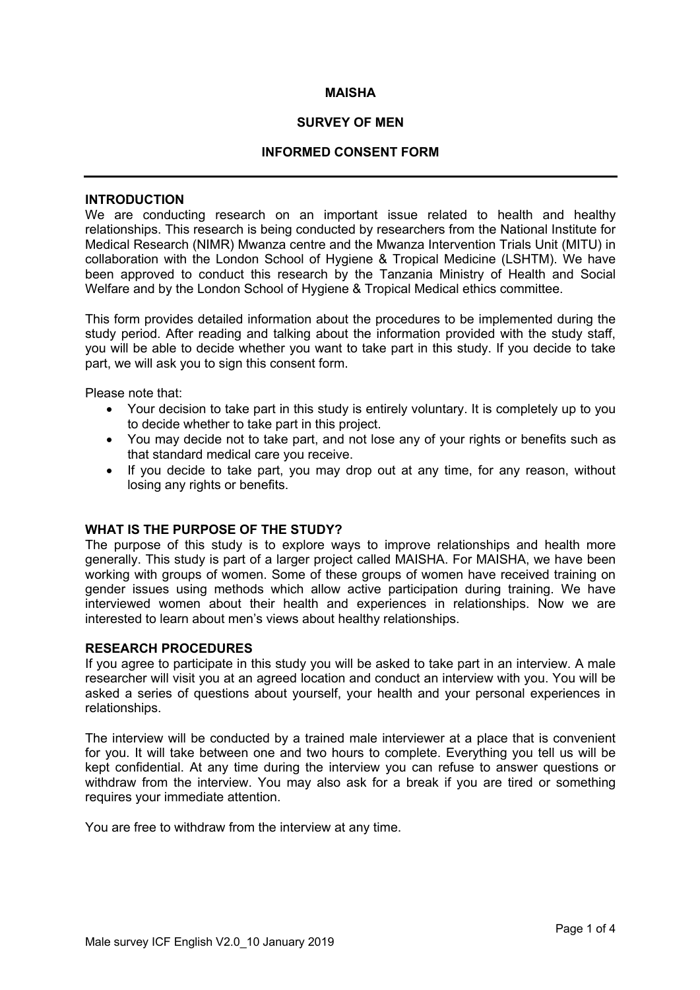#### **MAISHA**

### **SURVEY OF MEN**

### **INFORMED CONSENT FORM**

### **INTRODUCTION**

We are conducting research on an important issue related to health and healthy relationships. This research is being conducted by researchers from the National Institute for Medical Research (NIMR) Mwanza centre and the Mwanza Intervention Trials Unit (MITU) in collaboration with the London School of Hygiene & Tropical Medicine (LSHTM). We have been approved to conduct this research by the Tanzania Ministry of Health and Social Welfare and by the London School of Hygiene & Tropical Medical ethics committee.

This form provides detailed information about the procedures to be implemented during the study period. After reading and talking about the information provided with the study staff, you will be able to decide whether you want to take part in this study. If you decide to take part, we will ask you to sign this consent form.

Please note that:

- Your decision to take part in this study is entirely voluntary. It is completely up to you to decide whether to take part in this project.
- You may decide not to take part, and not lose any of your rights or benefits such as that standard medical care you receive.
- If you decide to take part, you may drop out at any time, for any reason, without losing any rights or benefits.

### **WHAT IS THE PURPOSE OF THE STUDY?**

The purpose of this study is to explore ways to improve relationships and health more generally. This study is part of a larger project called MAISHA. For MAISHA, we have been working with groups of women. Some of these groups of women have received training on gender issues using methods which allow active participation during training. We have interviewed women about their health and experiences in relationships. Now we are interested to learn about men's views about healthy relationships.

### **RESEARCH PROCEDURES**

If you agree to participate in this study you will be asked to take part in an interview. A male researcher will visit you at an agreed location and conduct an interview with you. You will be asked a series of questions about yourself, your health and your personal experiences in relationships.

The interview will be conducted by a trained male interviewer at a place that is convenient for you. It will take between one and two hours to complete. Everything you tell us will be kept confidential. At any time during the interview you can refuse to answer questions or withdraw from the interview. You may also ask for a break if you are tired or something requires your immediate attention.

You are free to withdraw from the interview at any time.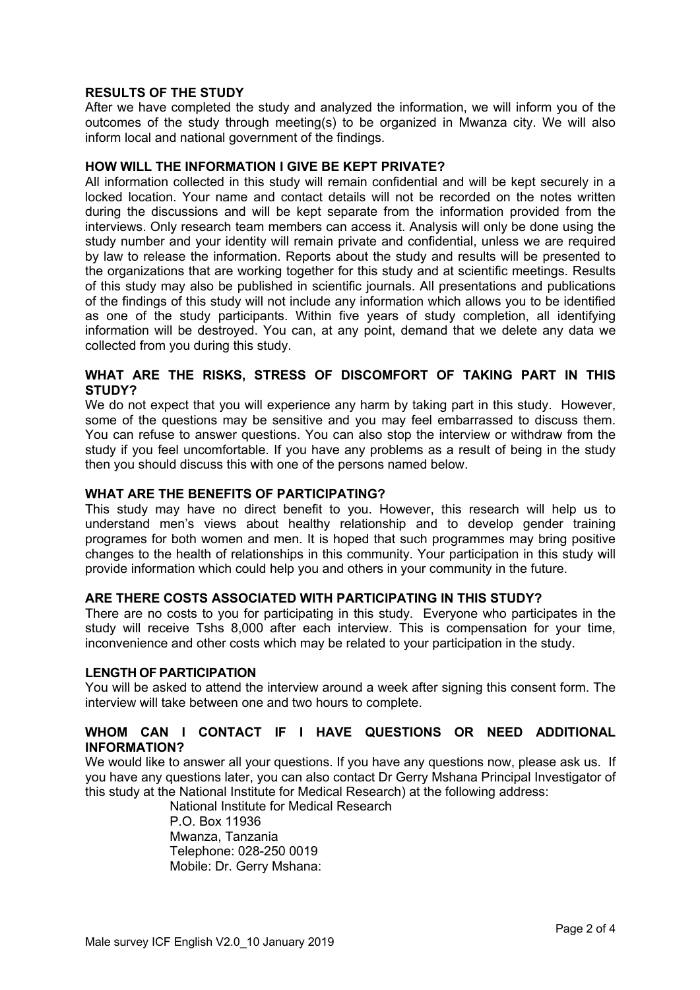# **RESULTS OF THE STUDY**

After we have completed the study and analyzed the information, we will inform you of the outcomes of the study through meeting(s) to be organized in Mwanza city. We will also inform local and national government of the findings.

# **HOW WILL THE INFORMATION I GIVE BE KEPT PRIVATE?**

All information collected in this study will remain confidential and will be kept securely in a locked location. Your name and contact details will not be recorded on the notes written during the discussions and will be kept separate from the information provided from the interviews. Only research team members can access it. Analysis will only be done using the study number and your identity will remain private and confidential, unless we are required by law to release the information. Reports about the study and results will be presented to the organizations that are working together for this study and at scientific meetings. Results of this study may also be published in scientific journals. All presentations and publications of the findings of this study will not include any information which allows you to be identified as one of the study participants. Within five years of study completion, all identifying information will be destroyed. You can, at any point, demand that we delete any data we collected from you during this study.

# **WHAT ARE THE RISKS, STRESS OF DISCOMFORT OF TAKING PART IN THIS STUDY?**

We do not expect that you will experience any harm by taking part in this study. However, some of the questions may be sensitive and you may feel embarrassed to discuss them. You can refuse to answer questions. You can also stop the interview or withdraw from the study if you feel uncomfortable. If you have any problems as a result of being in the study then you should discuss this with one of the persons named below.

### **WHAT ARE THE BENEFITS OF PARTICIPATING?**

This study may have no direct benefit to you. However, this research will help us to understand men's views about healthy relationship and to develop gender training programes for both women and men. It is hoped that such programmes may bring positive changes to the health of relationships in this community. Your participation in this study will provide information which could help you and others in your community in the future.

# **ARE THERE COSTS ASSOCIATED WITH PARTICIPATING IN THIS STUDY?**

There are no costs to you for participating in this study. Everyone who participates in the study will receive Tshs 8,000 after each interview. This is compensation for your time, inconvenience and other costs which may be related to your participation in the study.

### **LENGTH OF PARTICIPATION**

You will be asked to attend the interview around a week after signing this consent form. The interview will take between one and two hours to complete.

# **WHOM CAN I CONTACT IF I HAVE QUESTIONS OR NEED ADDITIONAL INFORMATION?**

We would like to answer all your questions. If you have any questions now, please ask us. If you have any questions later, you can also contact Dr Gerry Mshana Principal Investigator of this study at the National Institute for Medical Research) at the following address:

National Institute for Medical Research P.O. Box 11936 Mwanza, Tanzania Telephone: 028-250 0019 Mobile: Dr. Gerry Mshana: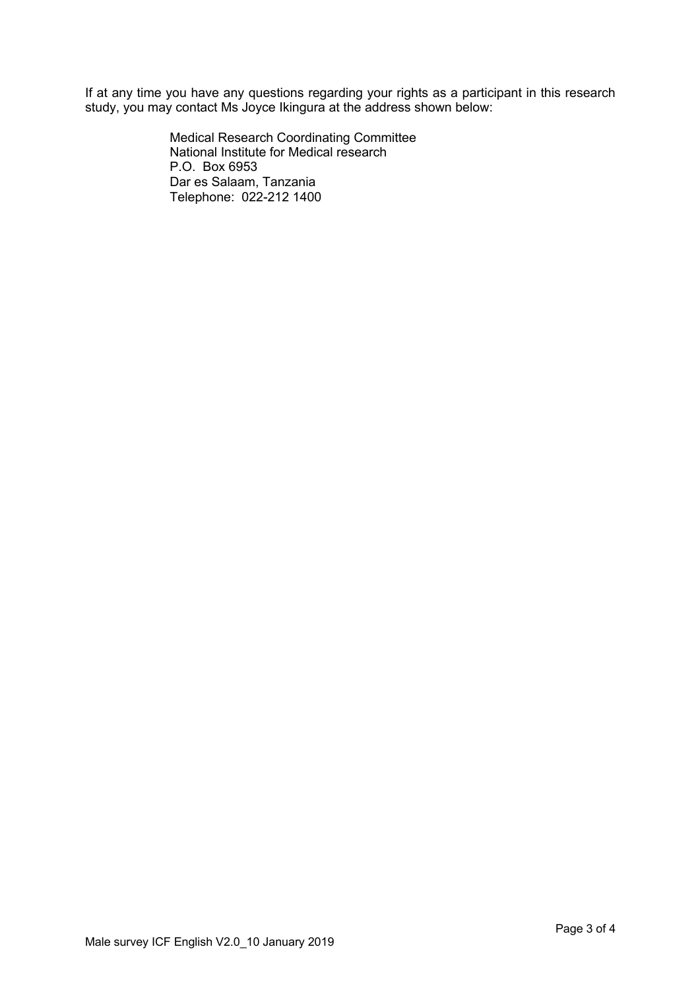If at any time you have any questions regarding your rights as a participant in this research study, you may contact Ms Joyce Ikingura at the address shown below:

> Medical Research Coordinating Committee National Institute for Medical research P.O. Box 6953 Dar es Salaam, Tanzania Telephone: 022-212 1400